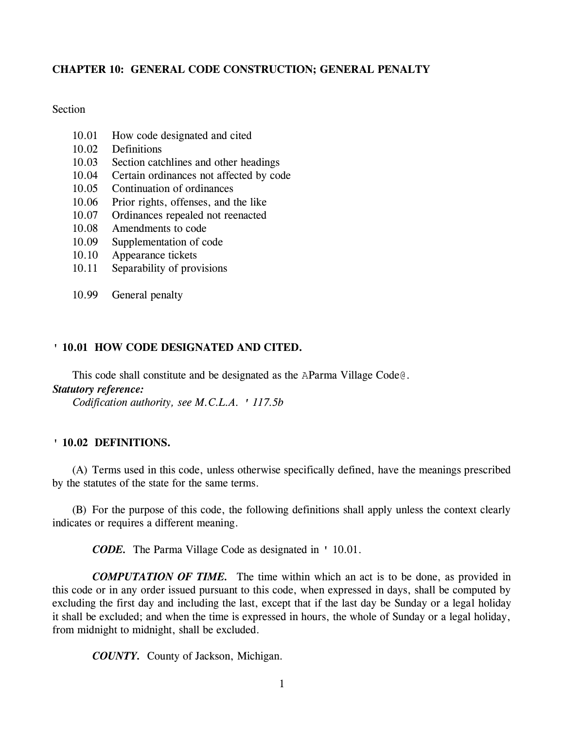# **CHAPTER 10: GENERAL CODE CONSTRUCTION; GENERAL PENALTY**

# Section

- 10.01 How code designated and cited
- 10.02 Definitions
- 10.03 Section catchlines and other headings
- 10.04 Certain ordinances not affected by code
- 10.05 Continuation of ordinances
- 10.06 Prior rights, offenses, and the like
- 10.07 Ordinances repealed not reenacted
- 10.08 Amendments to code
- 10.09 Supplementation of code
- 10.10 Appearance tickets
- 10.11 Separability of provisions
- 10.99 General penalty

#### **' 10.01 HOW CODE DESIGNATED AND CITED.**

This code shall constitute and be designated as the AParma Village Code@.

# *Statutory reference:*

*Codification authority, see M.C.L.A. ' 117.5b*

#### **' 10.02 DEFINITIONS.**

(A) Terms used in this code, unless otherwise specifically defined, have the meanings prescribed by the statutes of the state for the same terms.

(B) For the purpose of this code, the following definitions shall apply unless the context clearly indicates or requires a different meaning.

*CODE.* The Parma Village Code as designated in ' 10.01.

*COMPUTATION OF TIME.* The time within which an act is to be done, as provided in this code or in any order issued pursuant to this code, when expressed in days, shall be computed by excluding the first day and including the last, except that if the last day be Sunday or a legal holiday it shall be excluded; and when the time is expressed in hours, the whole of Sunday or a legal holiday, from midnight to midnight, shall be excluded.

*COUNTY.* County of Jackson, Michigan.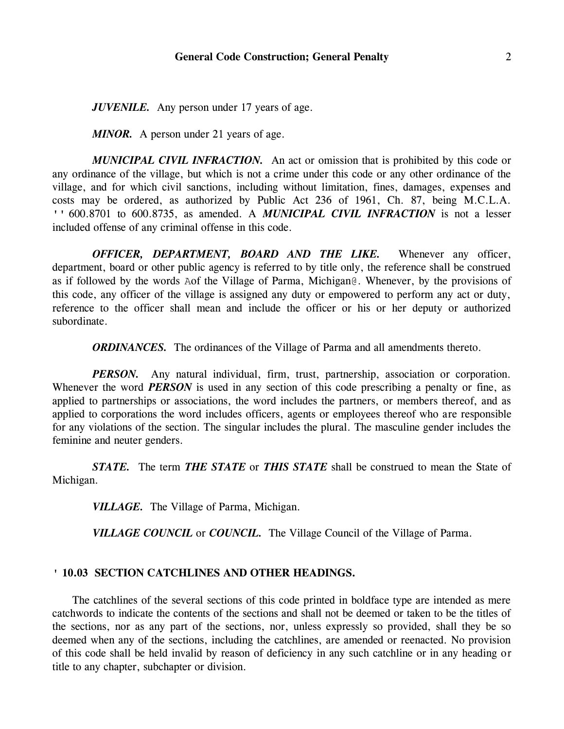*JUVENILE.* Any person under 17 years of age.

*MINOR.* A person under 21 years of age.

*MUNICIPAL CIVIL INFRACTION.* An act or omission that is prohibited by this code or any ordinance of the village, but which is not a crime under this code or any other ordinance of the village, and for which civil sanctions, including without limitation, fines, damages, expenses and costs may be ordered, as authorized by Public Act 236 of 1961, Ch. 87, being M.C.L.A. '' 600.8701 to 600.8735, as amended. A *MUNICIPAL CIVIL INFRACTION* is not a lesser included offense of any criminal offense in this code.

*OFFICER, DEPARTMENT, BOARD AND THE LIKE.* Whenever any officer, department, board or other public agency is referred to by title only, the reference shall be construed as if followed by the words Aof the Village of Parma, Michigan@. Whenever, by the provisions of this code, any officer of the village is assigned any duty or empowered to perform any act or duty, reference to the officer shall mean and include the officer or his or her deputy or authorized subordinate.

*ORDINANCES*. The ordinances of the Village of Parma and all amendments thereto.

*PERSON*. Any natural individual, firm, trust, partnership, association or corporation. Whenever the word *PERSON* is used in any section of this code prescribing a penalty or fine, as applied to partnerships or associations, the word includes the partners, or members thereof, and as applied to corporations the word includes officers, agents or employees thereof who are responsible for any violations of the section. The singular includes the plural. The masculine gender includes the feminine and neuter genders.

*STATE.* The term *THE STATE* or *THIS STATE* shall be construed to mean the State of Michigan.

*VILLAGE.* The Village of Parma, Michigan.

*VILLAGE COUNCIL* or *COUNCIL.* The Village Council of the Village of Parma.

#### **' 10.03 SECTION CATCHLINES AND OTHER HEADINGS.**

The catchlines of the several sections of this code printed in boldface type are intended as mere catchwords to indicate the contents of the sections and shall not be deemed or taken to be the titles of the sections, nor as any part of the sections, nor, unless expressly so provided, shall they be so deemed when any of the sections, including the catchlines, are amended or reenacted. No provision of this code shall be held invalid by reason of deficiency in any such catchline or in any heading or title to any chapter, subchapter or division.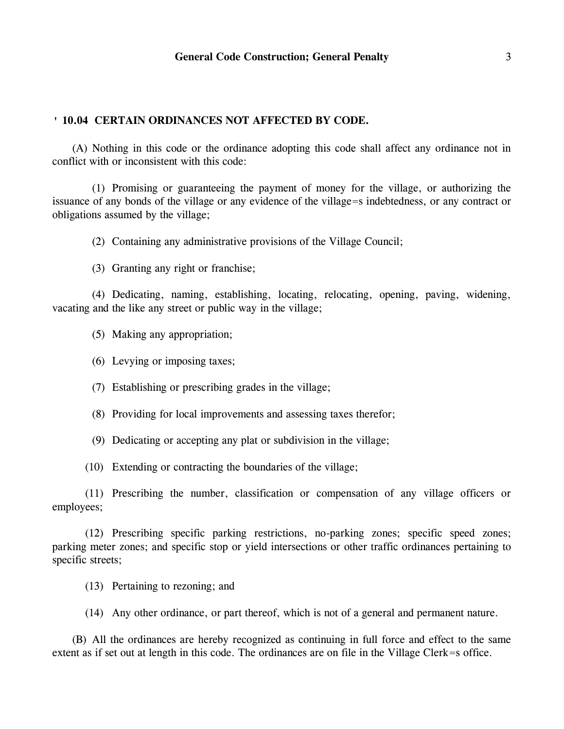### **' 10.04 CERTAIN ORDINANCES NOT AFFECTED BY CODE.**

(A) Nothing in this code or the ordinance adopting this code shall affect any ordinance not in conflict with or inconsistent with this code:

(1) Promising or guaranteeing the payment of money for the village, or authorizing the issuance of any bonds of the village or any evidence of the village=s indebtedness, or any contract or obligations assumed by the village;

(2) Containing any administrative provisions of the Village Council;

(3) Granting any right or franchise;

(4) Dedicating, naming, establishing, locating, relocating, opening, paving, widening, vacating and the like any street or public way in the village;

(5) Making any appropriation;

(6) Levying or imposing taxes;

- (7) Establishing or prescribing grades in the village;
- (8) Providing for local improvements and assessing taxes therefor;
- (9) Dedicating or accepting any plat or subdivision in the village;

(10) Extending or contracting the boundaries of the village;

(11) Prescribing the number, classification or compensation of any village officers or employees;

(12) Prescribing specific parking restrictions, no-parking zones; specific speed zones; parking meter zones; and specific stop or yield intersections or other traffic ordinances pertaining to specific streets;

- (13) Pertaining to rezoning; and
- (14) Any other ordinance, or part thereof, which is not of a general and permanent nature.

(B) All the ordinances are hereby recognized as continuing in full force and effect to the same extent as if set out at length in this code. The ordinances are on file in the Village Clerk=s office.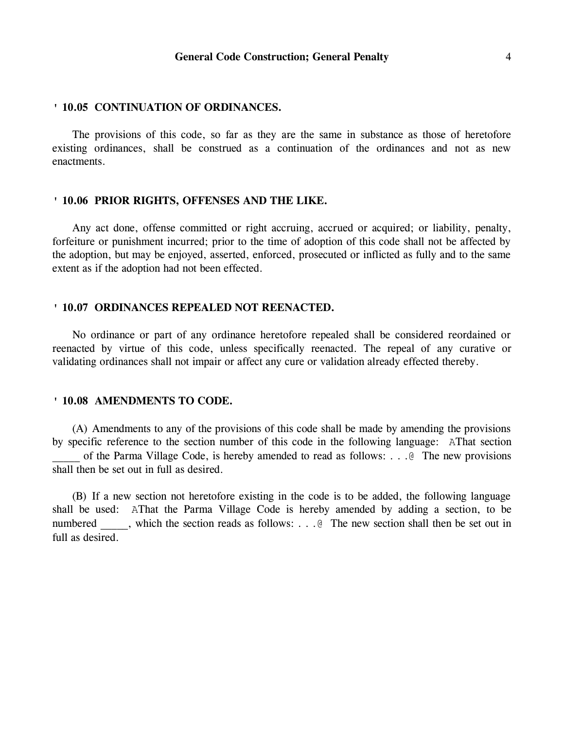#### **' 10.05 CONTINUATION OF ORDINANCES.**

The provisions of this code, so far as they are the same in substance as those of heretofore existing ordinances, shall be construed as a continuation of the ordinances and not as new enactments.

#### **' 10.06 PRIOR RIGHTS, OFFENSES AND THE LIKE.**

Any act done, offense committed or right accruing, accrued or acquired; or liability, penalty, forfeiture or punishment incurred; prior to the time of adoption of this code shall not be affected by the adoption, but may be enjoyed, asserted, enforced, prosecuted or inflicted as fully and to the same extent as if the adoption had not been effected.

#### **' 10.07 ORDINANCES REPEALED NOT REENACTED.**

No ordinance or part of any ordinance heretofore repealed shall be considered reordained or reenacted by virtue of this code, unless specifically reenacted. The repeal of any curative or validating ordinances shall not impair or affect any cure or validation already effected thereby.

#### **' 10.08 AMENDMENTS TO CODE.**

(A) Amendments to any of the provisions of this code shall be made by amending the provisions by specific reference to the section number of this code in the following language: AThat section of the Parma Village Code, is hereby amended to read as follows: . . . @ The new provisions shall then be set out in full as desired.

(B) If a new section not heretofore existing in the code is to be added, the following language shall be used: AThat the Parma Village Code is hereby amended by adding a section, to be numbered , which the section reads as follows: . . . @ The new section shall then be set out in full as desired.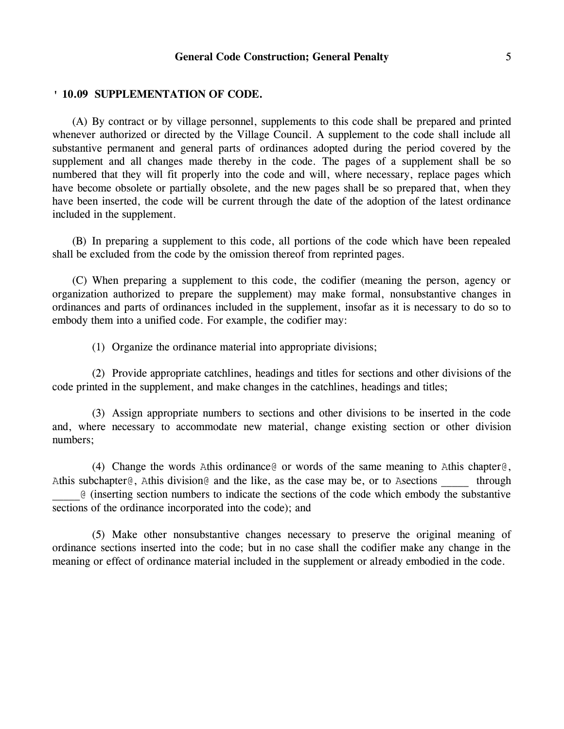## **General Code Construction; General Penalty** 5

#### **' 10.09 SUPPLEMENTATION OF CODE.**

(A) By contract or by village personnel, supplements to this code shall be prepared and printed whenever authorized or directed by the Village Council. A supplement to the code shall include all substantive permanent and general parts of ordinances adopted during the period covered by the supplement and all changes made thereby in the code. The pages of a supplement shall be so numbered that they will fit properly into the code and will, where necessary, replace pages which have become obsolete or partially obsolete, and the new pages shall be so prepared that, when they have been inserted, the code will be current through the date of the adoption of the latest ordinance included in the supplement.

(B) In preparing a supplement to this code, all portions of the code which have been repealed shall be excluded from the code by the omission thereof from reprinted pages.

(C) When preparing a supplement to this code, the codifier (meaning the person, agency or organization authorized to prepare the supplement) may make formal, nonsubstantive changes in ordinances and parts of ordinances included in the supplement, insofar as it is necessary to do so to embody them into a unified code. For example, the codifier may:

(1) Organize the ordinance material into appropriate divisions;

(2) Provide appropriate catchlines, headings and titles for sections and other divisions of the code printed in the supplement, and make changes in the catchlines, headings and titles;

(3) Assign appropriate numbers to sections and other divisions to be inserted in the code and, where necessary to accommodate new material, change existing section or other division numbers;

(4) Change the words Athis ordinance  $\circ$  or words of the same meaning to Athis chapter  $\circ$ , Athis subchapter  $\theta$ , Athis division  $\theta$  and the like, as the case may be, or to Asections through \_\_\_\_\_@ (inserting section numbers to indicate the sections of the code which embody the substantive sections of the ordinance incorporated into the code); and

(5) Make other nonsubstantive changes necessary to preserve the original meaning of ordinance sections inserted into the code; but in no case shall the codifier make any change in the meaning or effect of ordinance material included in the supplement or already embodied in the code.